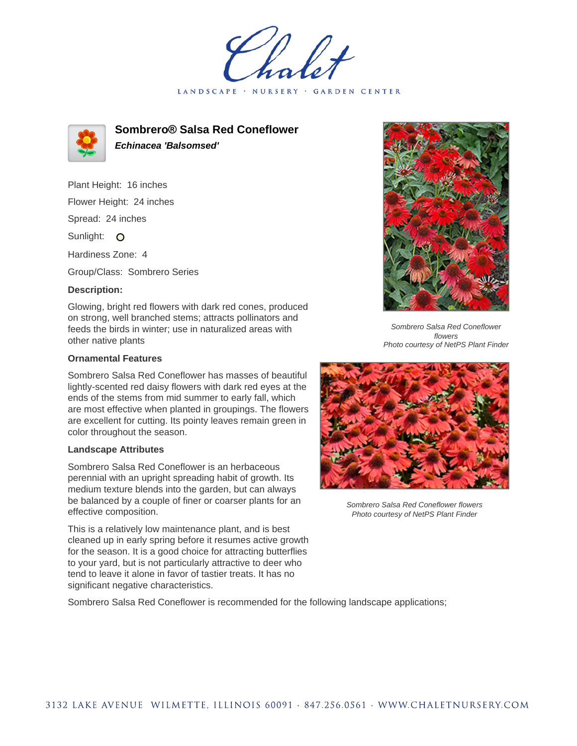LANDSCAPE · NURSERY **GARDEN CENTER** 



**Sombrero® Salsa Red Coneflower Echinacea 'Balsomsed'**

Plant Height: 16 inches Flower Height: 24 inches Spread: 24 inches Sunlight: O Hardiness Zone: 4

Group/Class: Sombrero Series

## **Description:**

Glowing, bright red flowers with dark red cones, produced on strong, well branched stems; attracts pollinators and feeds the birds in winter; use in naturalized areas with other native plants

## **Ornamental Features**

Sombrero Salsa Red Coneflower has masses of beautiful lightly-scented red daisy flowers with dark red eyes at the ends of the stems from mid summer to early fall, which are most effective when planted in groupings. The flowers are excellent for cutting. Its pointy leaves remain green in color throughout the season.

## **Landscape Attributes**

Sombrero Salsa Red Coneflower is an herbaceous perennial with an upright spreading habit of growth. Its medium texture blends into the garden, but can always be balanced by a couple of finer or coarser plants for an effective composition.

This is a relatively low maintenance plant, and is best cleaned up in early spring before it resumes active growth for the season. It is a good choice for attracting butterflies to your yard, but is not particularly attractive to deer who tend to leave it alone in favor of tastier treats. It has no significant negative characteristics.



Sombrero Salsa Red Coneflower flowers Photo courtesy of NetPS Plant Finder



Sombrero Salsa Red Coneflower flowers Photo courtesy of NetPS Plant Finder

Sombrero Salsa Red Coneflower is recommended for the following landscape applications;